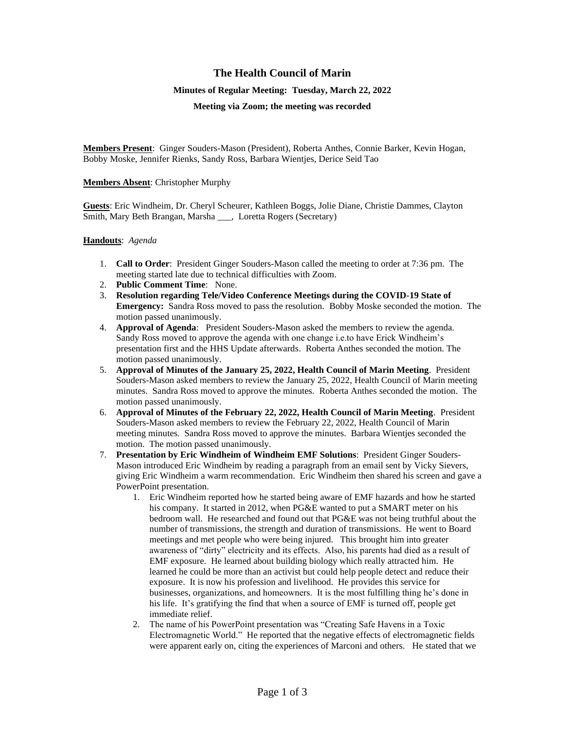# **The Health Council of Marin**

### **Minutes of Regular Meeting: Tuesday, March 22, 2022**

**Meeting via Zoom; the meeting was recorded**

**Members Present**: Ginger Souders-Mason (President), Roberta Anthes, Connie Barker, Kevin Hogan, Bobby Moske, Jennifer Rienks, Sandy Ross, Barbara Wientjes, Derice Seid Tao

## **Members Absent**: Christopher Murphy

**Guests**: Eric Windheim, Dr. Cheryl Scheurer, Kathleen Boggs, Jolie Diane, Christie Dammes, Clayton Smith, Mary Beth Brangan, Marsha , Loretta Rogers (Secretary)

### **Handouts**: *Agenda*

- 1. **Call to Order**: President Ginger Souders-Mason called the meeting to order at 7:36 pm. The meeting started late due to technical difficulties with Zoom.
- 2. **Public Comment Time**: None.
- 3. **Resolution regarding Tele/Video Conference Meetings during the COVID**-**19 State of Emergency:** Sandra Ross moved to pass the resolution. Bobby Moske seconded the motion. The motion passed unanimously.
- 4. **Approval of Agenda**: President Souders-Mason asked the members to review the agenda. Sandy Ross moved to approve the agenda with one change i.e.to have Erick Windheim's presentation first and the HHS Update afterwards. Roberta Anthes seconded the motion. The motion passed unanimously.
- 5. **Approval of Minutes of the January 25, 2022, Health Council of Marin Meeting**. President Souders-Mason asked members to review the January 25, 2022, Health Council of Marin meeting minutes. Sandra Ross moved to approve the minutes. Roberta Anthes seconded the motion. The motion passed unanimously.
- 6. **Approval of Minutes of the February 22, 2022, Health Council of Marin Meeting**. President Souders-Mason asked members to review the February 22, 2022, Health Council of Marin meeting minutes. Sandra Ross moved to approve the minutes. Barbara Wientjes seconded the motion. The motion passed unanimously.
- 7. **Presentation by Eric Windheim of Windheim EMF Solutions**: President Ginger Souders-Mason introduced Eric Windheim by reading a paragraph from an email sent by Vicky Sievers, giving Eric Windheim a warm recommendation. Eric Windheim then shared his screen and gave a PowerPoint presentation.
	- 1. Eric Windheim reported how he started being aware of EMF hazards and how he started his company. It started in 2012, when PG&E wanted to put a SMART meter on his bedroom wall. He researched and found out that PG&E was not being truthful about the number of transmissions, the strength and duration of transmissions. He went to Board meetings and met people who were being injured. This brought him into greater awareness of "dirty" electricity and its effects. Also, his parents had died as a result of EMF exposure. He learned about building biology which really attracted him. He learned he could be more than an activist but could help people detect and reduce their exposure. It is now his profession and livelihood. He provides this service for businesses, organizations, and homeowners. It is the most fulfilling thing he's done in his life. It's gratifying the find that when a source of EMF is turned off, people get immediate relief.
	- 2. The name of his PowerPoint presentation was "Creating Safe Havens in a Toxic Electromagnetic World." He reported that the negative effects of electromagnetic fields were apparent early on, citing the experiences of Marconi and others. He stated that we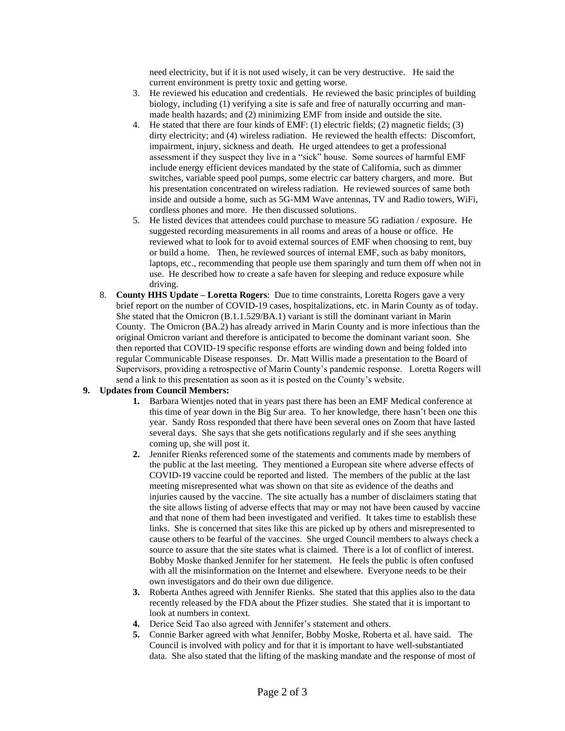need electricity, but if it is not used wisely, it can be very destructive. He said the current environment is pretty toxic and getting worse.

- 3. He reviewed his education and credentials. He reviewed the basic principles of building biology, including (1) verifying a site is safe and free of naturally occurring and manmade health hazards; and (2) minimizing EMF from inside and outside the site.
- 4. He stated that there are four kinds of EMF: (1) electric fields; (2) magnetic fields; (3) dirty electricity; and (4) wireless radiation. He reviewed the health effects: Discomfort, impairment, injury, sickness and death. He urged attendees to get a professional assessment if they suspect they live in a "sick" house. Some sources of harmful EMF include energy efficient devices mandated by the state of California, such as dimmer switches, variable speed pool pumps, some electric car battery chargers, and more. But his presentation concentrated on wireless radiation. He reviewed sources of same both inside and outside a home, such as 5G-MM Wave antennas, TV and Radio towers, WiFi, cordless phones and more. He then discussed solutions.
- 5. He listed devices that attendees could purchase to measure 5G radiation / exposure. He suggested recording measurements in all rooms and areas of a house or office. He reviewed what to look for to avoid external sources of EMF when choosing to rent, buy or build a home. Then, he reviewed sources of internal EMF, such as baby monitors, laptops, etc., recommending that people use them sparingly and turn them off when not in use. He described how to create a safe haven for sleeping and reduce exposure while driving.
- 8. **County HHS Update – Loretta Rogers**: Due to time constraints, Loretta Rogers gave a very brief report on the number of COVID-19 cases, hospitalizations, etc. in Marin County as of today. She stated that the Omicron (B.1.1.529/BA.1) variant is still the dominant variant in Marin County. The Omicron (BA.2) has already arrived in Marin County and is more infectious than the original Omicron variant and therefore is anticipated to become the dominant variant soon. She then reported that COVID-19 specific response efforts are winding down and being folded into regular Communicable Disease responses. Dr. Matt Willis made a presentation to the Board of Supervisors, providing a retrospective of Marin County's pandemic response. Loretta Rogers will send a link to this presentation as soon as it is posted on the County's website.

## **9. Updates from Council Members:**

- **1.** Barbara Wientjes noted that in years past there has been an EMF Medical conference at this time of year down in the Big Sur area. To her knowledge, there hasn't been one this year. Sandy Ross responded that there have been several ones on Zoom that have lasted several days. She says that she gets notifications regularly and if she sees anything coming up, she will post it.
- **2.** Jennifer Rienks referenced some of the statements and comments made by members of the public at the last meeting. They mentioned a European site where adverse effects of COVID-19 vaccine could be reported and listed. The members of the public at the last meeting misrepresented what was shown on that site as evidence of the deaths and injuries caused by the vaccine. The site actually has a number of disclaimers stating that the site allows listing of adverse effects that may or may not have been caused by vaccine and that none of them had been investigated and verified. It takes time to establish these links. She is concerned that sites like this are picked up by others and misrepresented to cause others to be fearful of the vaccines. She urged Council members to always check a source to assure that the site states what is claimed. There is a lot of conflict of interest. Bobby Moske thanked Jennifer for her statement. He feels the public is often confused with all the misinformation on the Internet and elsewhere. Everyone needs to be their own investigators and do their own due diligence.
- **3.** Roberta Anthes agreed with Jennifer Rienks. She stated that this applies also to the data recently released by the FDA about the Pfizer studies. She stated that it is important to look at numbers in context.
- **4.** Derice Seid Tao also agreed with Jennifer's statement and others.
- **5.** Connie Barker agreed with what Jennifer, Bobby Moske, Roberta et al. have said. The Council is involved with policy and for that it is important to have well-substantiated data. She also stated that the lifting of the masking mandate and the response of most of